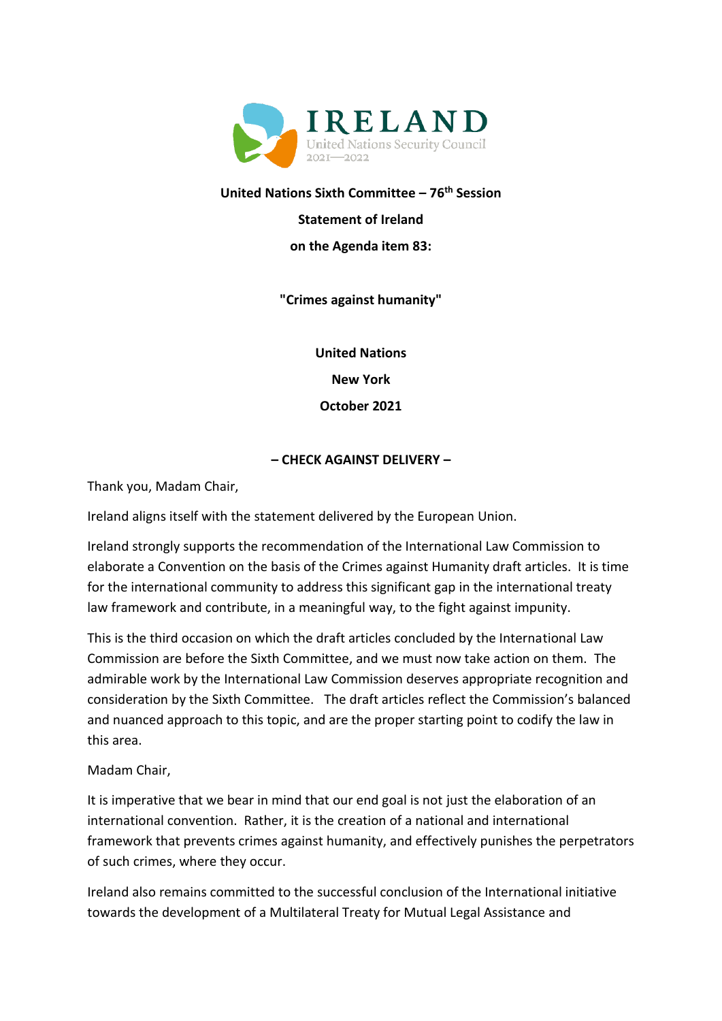

**United Nations Sixth Committee – 76 th Session** 

**Statement of Ireland**

**on the Agenda item 83:**

**"Crimes against humanity"**

**United Nations New York October 2021**

## **– CHECK AGAINST DELIVERY –**

Thank you, Madam Chair,

Ireland aligns itself with the statement delivered by the European Union.

Ireland strongly supports the recommendation of the International Law Commission to elaborate a Convention on the basis of the Crimes against Humanity draft articles. It is time for the international community to address this significant gap in the international treaty law framework and contribute, in a meaningful way, to the fight against impunity.

This is the third occasion on which the draft articles concluded by the International Law Commission are before the Sixth Committee, and we must now take action on them. The admirable work by the International Law Commission deserves appropriate recognition and consideration by the Sixth Committee. The draft articles reflect the Commission's balanced and nuanced approach to this topic, and are the proper starting point to codify the law in this area.

Madam Chair,

It is imperative that we bear in mind that our end goal is not just the elaboration of an international convention. Rather, it is the creation of a national and international framework that prevents crimes against humanity, and effectively punishes the perpetrators of such crimes, where they occur.

Ireland also remains committed to the successful conclusion of the International initiative towards the development of a Multilateral Treaty for Mutual Legal Assistance and